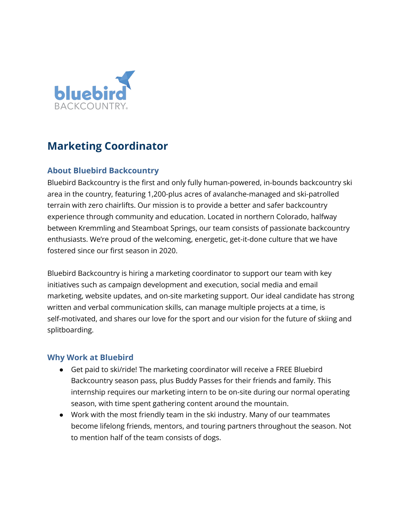

# **Marketing Coordinator**

# **About Bluebird Backcountry**

Bluebird Backcountry is the first and only fully human-powered, in-bounds backcountry ski area in the country, featuring 1,200-plus acres of avalanche-managed and ski-patrolled terrain with zero chairlifts. Our mission is to provide a better and safer backcountry experience through community and education. Located in northern Colorado, halfway between Kremmling and Steamboat Springs, our team consists of passionate backcountry enthusiasts. We're proud of the welcoming, energetic, get-it-done culture that we have fostered since our first season in 2020.

Bluebird Backcountry is hiring a marketing coordinator to support our team with key initiatives such as campaign development and execution, social media and email marketing, website updates, and on-site marketing support. Our ideal candidate has strong written and verbal communication skills, can manage multiple projects at a time, is self-motivated, and shares our love for the sport and our vision for the future of skiing and splitboarding.

#### **Why Work at Bluebird**

- Get paid to ski/ride! The marketing coordinator will receive a FREE Bluebird Backcountry season pass, plus Buddy Passes for their friends and family. This internship requires our marketing intern to be on-site during our normal operating season, with time spent gathering content around the mountain.
- Work with the most friendly team in the ski industry. Many of our teammates become lifelong friends, mentors, and touring partners throughout the season. Not to mention half of the team consists of dogs.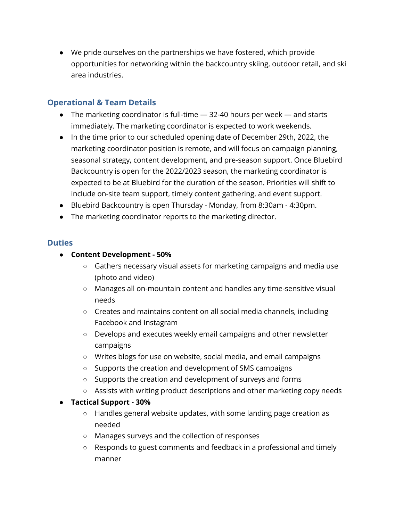● We pride ourselves on the partnerships we have fostered, which provide opportunities for networking within the backcountry skiing, outdoor retail, and ski area industries.

## **Operational & Team Details**

- The marketing coordinator is full-time 32-40 hours per week and starts immediately. The marketing coordinator is expected to work weekends.
- In the time prior to our scheduled opening date of December 29th, 2022, the marketing coordinator position is remote, and will focus on campaign planning, seasonal strategy, content development, and pre-season support. Once Bluebird Backcountry is open for the 2022/2023 season, the marketing coordinator is expected to be at Bluebird for the duration of the season. Priorities will shift to include on-site team support, timely content gathering, and event support.
- Bluebird Backcountry is open Thursday Monday, from 8:30am 4:30pm.
- The marketing coordinator reports to the marketing director.

#### **Duties**

- **● Content Development - 50%**
	- Gathers necessary visual assets for marketing campaigns and media use (photo and video)
	- Manages all on-mountain content and handles any time-sensitive visual needs
	- Creates and maintains content on all social media channels, including Facebook and Instagram
	- Develops and executes weekly email campaigns and other newsletter campaigns
	- Writes blogs for use on website, social media, and email campaigns
	- Supports the creation and development of SMS campaigns
	- Supports the creation and development of surveys and forms
	- Assists with writing product descriptions and other marketing copy needs

#### **● Tactical Support - 30%**

- Handles general website updates, with some landing page creation as needed
- Manages surveys and the collection of responses
- Responds to guest comments and feedback in a professional and timely manner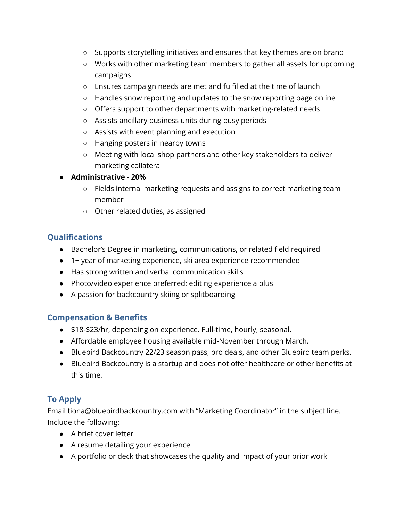- Supports storytelling initiatives and ensures that key themes are on brand
- Works with other marketing team members to gather all assets for upcoming campaigns
- Ensures campaign needs are met and fulfilled at the time of launch
- Handles snow reporting and updates to the snow reporting page online
- Offers support to other departments with marketing-related needs
- Assists ancillary business units during busy periods
- Assists with event planning and execution
- Hanging posters in nearby towns
- Meeting with local shop partners and other key stakeholders to deliver marketing collateral
- **● Administrative - 20%**
	- **○** Fields internal marketing requests and assigns to correct marketing team member
	- **○** Other related duties, as assigned

### **Qualifications**

- Bachelor's Degree in marketing, communications, or related field required
- 1+ year of marketing experience, ski area experience recommended
- Has strong written and verbal communication skills
- Photo/video experience preferred; editing experience a plus
- A passion for backcountry skiing or splitboarding

#### **Compensation & Benefits**

- \$18-\$23/hr, depending on experience. Full-time, hourly, seasonal.
- Affordable employee housing available mid-November through March.
- Bluebird Backcountry 22/23 season pass, pro deals, and other Bluebird team perks.
- Bluebird Backcountry is a startup and does not offer healthcare or other benefits at this time.

## **To Apply**

Email tiona@bluebirdbackcountry.com with "Marketing Coordinator" in the subject line. Include the following:

- A brief cover letter
- A resume detailing your experience
- A portfolio or deck that showcases the quality and impact of your prior work